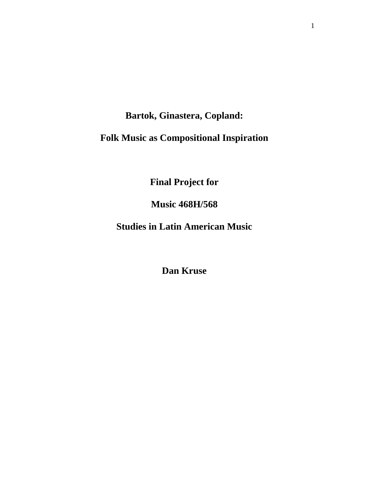# **Bartok, Ginastera, Copland:**

# **Folk Music as Compositional Inspiration**

**Final Project for**

**Music 468H/568**

**Studies in Latin American Music**

**Dan Kruse**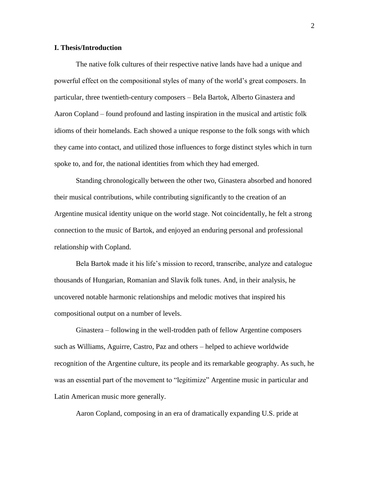## **I. Thesis/Introduction**

The native folk cultures of their respective native lands have had a unique and powerful effect on the compositional styles of many of the world's great composers. In particular, three twentieth-century composers – Bela Bartok, Alberto Ginastera and Aaron Copland – found profound and lasting inspiration in the musical and artistic folk idioms of their homelands. Each showed a unique response to the folk songs with which they came into contact, and utilized those influences to forge distinct styles which in turn spoke to, and for, the national identities from which they had emerged.

Standing chronologically between the other two, Ginastera absorbed and honored their musical contributions, while contributing significantly to the creation of an Argentine musical identity unique on the world stage. Not coincidentally, he felt a strong connection to the music of Bartok, and enjoyed an enduring personal and professional relationship with Copland.

Bela Bartok made it his life's mission to record, transcribe, analyze and catalogue thousands of Hungarian, Romanian and Slavik folk tunes. And, in their analysis, he uncovered notable harmonic relationships and melodic motives that inspired his compositional output on a number of levels.

Ginastera – following in the well-trodden path of fellow Argentine composers such as Williams, Aguirre, Castro, Paz and others – helped to achieve worldwide recognition of the Argentine culture, its people and its remarkable geography. As such, he was an essential part of the movement to "legitimize" Argentine music in particular and Latin American music more generally.

Aaron Copland, composing in an era of dramatically expanding U.S. pride at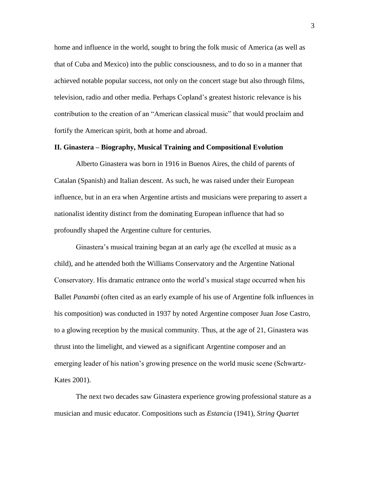home and influence in the world, sought to bring the folk music of America (as well as that of Cuba and Mexico) into the public consciousness, and to do so in a manner that achieved notable popular success, not only on the concert stage but also through films, television, radio and other media. Perhaps Copland's greatest historic relevance is his contribution to the creation of an "American classical music" that would proclaim and fortify the American spirit, both at home and abroad.

#### **II. Ginastera – Biography, Musical Training and Compositional Evolution**

Alberto Ginastera was born in 1916 in Buenos Aires, the child of parents of Catalan (Spanish) and Italian descent. As such, he was raised under their European influence, but in an era when Argentine artists and musicians were preparing to assert a nationalist identity distinct from the dominating European influence that had so profoundly shaped the Argentine culture for centuries.

Ginastera's musical training began at an early age (he excelled at music as a child), and he attended both the Williams Conservatory and the Argentine National Conservatory. His dramatic entrance onto the world's musical stage occurred when his Ballet *Panambi* (often cited as an early example of his use of Argentine folk influences in his composition) was conducted in 1937 by noted Argentine composer Juan Jose Castro, to a glowing reception by the musical community. Thus, at the age of 21, Ginastera was thrust into the limelight, and viewed as a significant Argentine composer and an emerging leader of his nation's growing presence on the world music scene (Schwartz-Kates 2001).

The next two decades saw Ginastera experience growing professional stature as a musician and music educator. Compositions such as *Estancia* (1941), *String Quartet*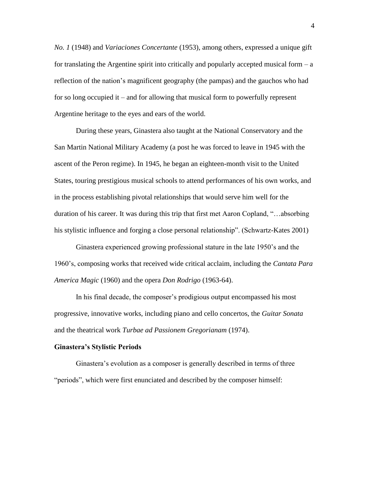*No. 1* (1948) and *Variaciones Concertante* (1953), among others, expressed a unique gift for translating the Argentine spirit into critically and popularly accepted musical form  $-a$ reflection of the nation's magnificent geography (the pampas) and the gauchos who had for so long occupied it – and for allowing that musical form to powerfully represent Argentine heritage to the eyes and ears of the world.

During these years, Ginastera also taught at the National Conservatory and the San Martin National Military Academy (a post he was forced to leave in 1945 with the ascent of the Peron regime). In 1945, he began an eighteen-month visit to the United States, touring prestigious musical schools to attend performances of his own works, and in the process establishing pivotal relationships that would serve him well for the duration of his career. It was during this trip that first met Aaron Copland, "…absorbing his stylistic influence and forging a close personal relationship". (Schwartz-Kates 2001)

Ginastera experienced growing professional stature in the late 1950's and the 1960's, composing works that received wide critical acclaim, including the *Cantata Para America Magic* (1960) and the opera *Don Rodrigo* (1963-64).

In his final decade, the composer's prodigious output encompassed his most progressive, innovative works, including piano and cello concertos, the *Guitar Sonata* and the theatrical work *Turbae ad Passionem Gregorianam* (1974).

#### **Ginastera's Stylistic Periods**

Ginastera's evolution as a composer is generally described in terms of three "periods", which were first enunciated and described by the composer himself: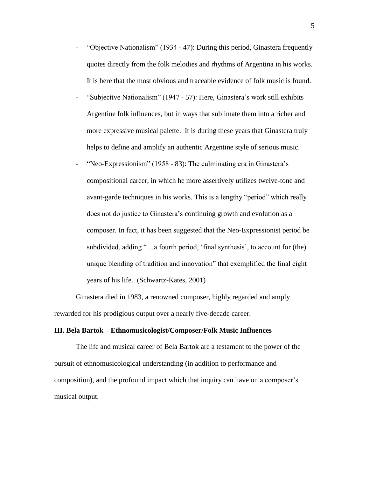- "Objective Nationalism" (1934 47): During this period, Ginastera frequently quotes directly from the folk melodies and rhythms of Argentina in his works. It is here that the most obvious and traceable evidence of folk music is found.
- "Subjective Nationalism" (1947 57): Here, Ginastera's work still exhibits Argentine folk influences, but in ways that sublimate them into a richer and more expressive musical palette. It is during these years that Ginastera truly helps to define and amplify an authentic Argentine style of serious music.
- "Neo-Expressionism" (1958 83): The culminating era in Ginastera's compositional career, in which he more assertively utilizes twelve-tone and avant-garde techniques in his works. This is a lengthy "period" which really does not do justice to Ginastera's continuing growth and evolution as a composer. In fact, it has been suggested that the Neo-Expressionist period be subdivided, adding "…a fourth period, 'final synthesis', to account for (the) unique blending of tradition and innovation" that exemplified the final eight years of his life. (Schwartz-Kates, 2001)

Ginastera died in 1983, a renowned composer, highly regarded and amply rewarded for his prodigious output over a nearly five-decade career.

#### **III. Bela Bartok – Ethnomusicologist/Composer/Folk Music Influences**

The life and musical career of Bela Bartok are a testament to the power of the pursuit of ethnomusicological understanding (in addition to performance and composition), and the profound impact which that inquiry can have on a composer's musical output.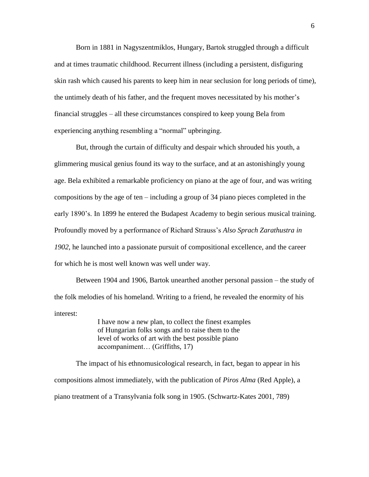Born in 1881 in Nagyszentmiklos, Hungary, Bartok struggled through a difficult and at times traumatic childhood. Recurrent illness (including a persistent, disfiguring skin rash which caused his parents to keep him in near seclusion for long periods of time), the untimely death of his father, and the frequent moves necessitated by his mother's financial struggles – all these circumstances conspired to keep young Bela from experiencing anything resembling a "normal" upbringing.

But, through the curtain of difficulty and despair which shrouded his youth, a glimmering musical genius found its way to the surface, and at an astonishingly young age. Bela exhibited a remarkable proficiency on piano at the age of four, and was writing compositions by the age of ten – including a group of 34 piano pieces completed in the early 1890's. In 1899 he entered the Budapest Academy to begin serious musical training. Profoundly moved by a performance of Richard Strauss's *Also Sprach Zarathustra in 1902*, he launched into a passionate pursuit of compositional excellence, and the career for which he is most well known was well under way.

Between 1904 and 1906, Bartok unearthed another personal passion – the study of the folk melodies of his homeland. Writing to a friend, he revealed the enormity of his interest:

> I have now a new plan, to collect the finest examples of Hungarian folks songs and to raise them to the level of works of art with the best possible piano accompaniment… (Griffiths, 17)

The impact of his ethnomusicological research, in fact, began to appear in his compositions almost immediately, with the publication of *Piros Alma* (Red Apple), a piano treatment of a Transylvania folk song in 1905. (Schwartz-Kates 2001, 789)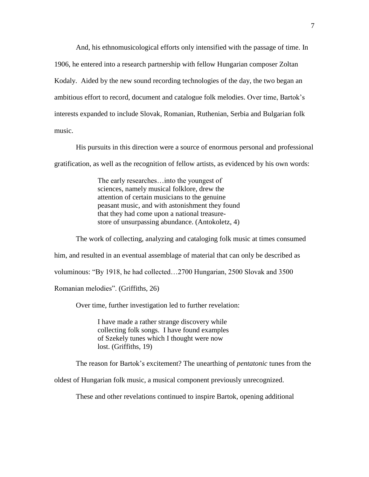And, his ethnomusicological efforts only intensified with the passage of time. In 1906, he entered into a research partnership with fellow Hungarian composer Zoltan Kodaly. Aided by the new sound recording technologies of the day, the two began an ambitious effort to record, document and catalogue folk melodies. Over time, Bartok's interests expanded to include Slovak, Romanian, Ruthenian, Serbia and Bulgarian folk music.

His pursuits in this direction were a source of enormous personal and professional gratification, as well as the recognition of fellow artists, as evidenced by his own words:

> The early researches…into the youngest of sciences, namely musical folklore, drew the attention of certain musicians to the genuine peasant music, and with astonishment they found that they had come upon a national treasurestore of unsurpassing abundance. (Antokoletz, 4)

The work of collecting, analyzing and cataloging folk music at times consumed him, and resulted in an eventual assemblage of material that can only be described as voluminous: "By 1918, he had collected…2700 Hungarian, 2500 Slovak and 3500 Romanian melodies". (Griffiths, 26)

Over time, further investigation led to further revelation:

I have made a rather strange discovery while collecting folk songs. I have found examples of Szekely tunes which I thought were now lost. (Griffiths, 19)

The reason for Bartok's excitement? The unearthing of *pentatonic* tunes from the

oldest of Hungarian folk music, a musical component previously unrecognized.

These and other revelations continued to inspire Bartok, opening additional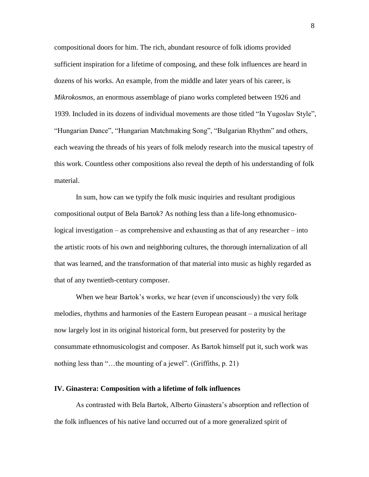compositional doors for him. The rich, abundant resource of folk idioms provided sufficient inspiration for a lifetime of composing, and these folk influences are heard in dozens of his works. An example, from the middle and later years of his career, is *Mikrokosmos*, an enormous assemblage of piano works completed between 1926 and 1939. Included in its dozens of individual movements are those titled "In Yugoslav Style", "Hungarian Dance", "Hungarian Matchmaking Song", "Bulgarian Rhythm" and others, each weaving the threads of his years of folk melody research into the musical tapestry of this work. Countless other compositions also reveal the depth of his understanding of folk material.

In sum, how can we typify the folk music inquiries and resultant prodigious compositional output of Bela Bartok? As nothing less than a life-long ethnomusicological investigation – as comprehensive and exhausting as that of any researcher – into the artistic roots of his own and neighboring cultures, the thorough internalization of all that was learned, and the transformation of that material into music as highly regarded as that of any twentieth-century composer.

When we hear Bartok's works, we hear (even if unconsciously) the very folk melodies, rhythms and harmonies of the Eastern European peasant – a musical heritage now largely lost in its original historical form, but preserved for posterity by the consummate ethnomusicologist and composer. As Bartok himself put it, such work was nothing less than "…the mounting of a jewel". (Griffiths, p. 21)

### **IV. Ginastera: Composition with a lifetime of folk influences**

As contrasted with Bela Bartok, Alberto Ginastera's absorption and reflection of the folk influences of his native land occurred out of a more generalized spirit of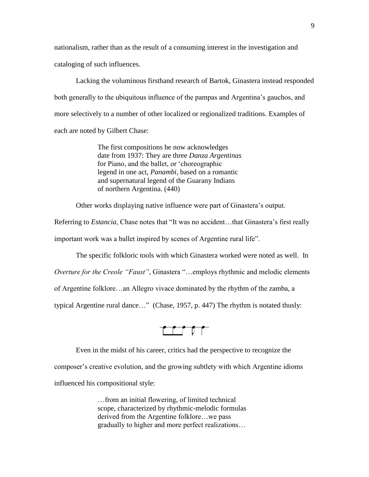nationalism, rather than as the result of a consuming interest in the investigation and cataloging of such influences.

Lacking the voluminous firsthand research of Bartok, Ginastera instead responded both generally to the ubiquitous influence of the pampas and Argentina's gauchos, and more selectively to a number of other localized or regionalized traditions. Examples of each are noted by Gilbert Chase:

> The first compositions he now acknowledges date from 1937: They are three *Danza Argentinas* for Piano, and the ballet, or 'choreographic legend in one act, *Panambi*, based on a romantic and supernatural legend of the Guarany Indians of northern Argentina. (440)

Other works displaying native influence were part of Ginastera's output.

Referring to *Estancia*, Chase notes that "It was no accident…that Ginastera's first really important work was a ballet inspired by scenes of Argentine rural life".

The specific folkloric tools with which Ginastera worked were noted as well. In

*Overture for the Creole "Faust"*, Ginastera "…employs rhythmic and melodic elements

of Argentine folklore…an Allegro vivace dominated by the rhythm of the zamba, a

typical Argentine rural dance…" (Chase, 1957, p. 447) The rhythm is notated thusly:

 $\sqrt{2}$ 

Even in the midst of his career, critics had the perspective to recognize the

composer's creative evolution, and the growing subtlety with which Argentine idioms

influenced his compositional style:

…from an initial flowering, of limited technical scope, characterized by rhythmic-melodic formulas derived from the Argentine folklore…we pass gradually to higher and more perfect realizations…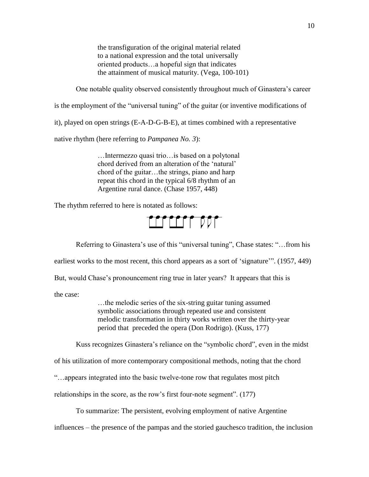the transfiguration of the original material related to a national expression and the total universally oriented products…a hopeful sign that indicates the attainment of musical maturity. (Vega, 100-101)

One notable quality observed consistently throughout much of Ginastera's career

is the employment of the "universal tuning" of the guitar (or inventive modifications of

it), played on open strings (E-A-D-G-B-E), at times combined with a representative

native rhythm (here referring to *Pampanea No. 3*):

…Intermezzo quasi trio…is based on a polytonal chord derived from an alteration of the 'natural' chord of the guitar…the strings, piano and harp repeat this chord in the typical 6/8 rhythm of an Argentine rural dance. (Chase 1957, 448)

The rhythm referred to here is notated as follows:



Referring to Ginastera's use of this "universal tuning", Chase states: "…from his

earliest works to the most recent, this chord appears as a sort of 'signature'". (1957, 449)

But, would Chase's pronouncement ring true in later years? It appears that this is

the case:

…the melodic series of the six-string guitar tuning assumed symbolic associations through repeated use and consistent melodic transformation in thirty works written over the thirty-year period that preceded the opera (Don Rodrigo). (Kuss, 177)

Kuss recognizes Ginastera's reliance on the "symbolic chord", even in the midst

of his utilization of more contemporary compositional methods, noting that the chord

"…appears integrated into the basic twelve-tone row that regulates most pitch

relationships in the score, as the row's first four-note segment". (177)

To summarize: The persistent, evolving employment of native Argentine

influences – the presence of the pampas and the storied gauchesco tradition, the inclusion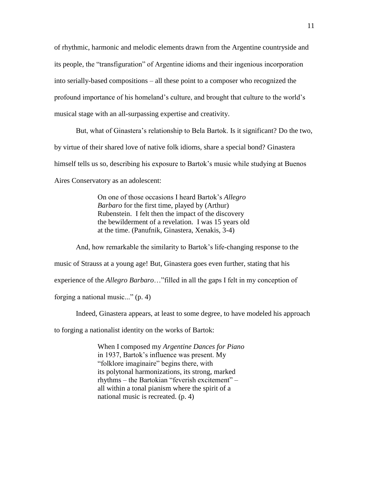of rhythmic, harmonic and melodic elements drawn from the Argentine countryside and its people, the "transfiguration" of Argentine idioms and their ingenious incorporation into serially-based compositions – all these point to a composer who recognized the profound importance of his homeland's culture, and brought that culture to the world's musical stage with an all-surpassing expertise and creativity.

But, what of Ginastera's relationship to Bela Bartok. Is it significant? Do the two, by virtue of their shared love of native folk idioms, share a special bond? Ginastera himself tells us so, describing his exposure to Bartok's music while studying at Buenos Aires Conservatory as an adolescent:

> On one of those occasions I heard Bartok's *Allegro Barbaro* for the first time, played by (Arthur) Rubenstein. I felt then the impact of the discovery the bewilderment of a revelation. I was 15 years old at the time. (Panufnik, Ginastera, Xenakis, 3-4)

And, how remarkable the similarity to Bartok's life-changing response to the music of Strauss at a young age! But, Ginastera goes even further, stating that his experience of the *Allegro Barbaro*…"filled in all the gaps I felt in my conception of forging a national music..." (p. 4)

Indeed, Ginastera appears, at least to some degree, to have modeled his approach

to forging a nationalist identity on the works of Bartok:

When I composed my *Argentine Dances for Piano*  in 1937, Bartok's influence was present. My "folklore imaginaire" begins there, with its polytonal harmonizations, its strong, marked rhythms – the Bartokian "feverish excitement" – all within a tonal pianism where the spirit of a national music is recreated. (p. 4)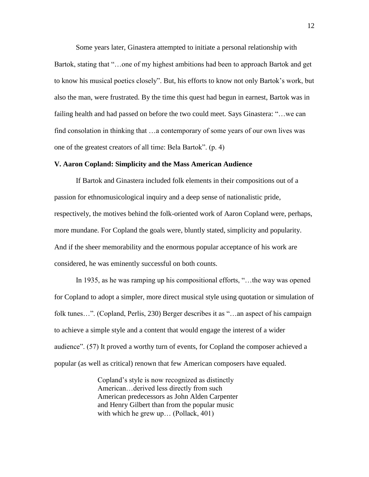Some years later, Ginastera attempted to initiate a personal relationship with Bartok, stating that "…one of my highest ambitions had been to approach Bartok and get to know his musical poetics closely". But, his efforts to know not only Bartok's work, but also the man, were frustrated. By the time this quest had begun in earnest, Bartok was in failing health and had passed on before the two could meet. Says Ginastera: "…we can find consolation in thinking that …a contemporary of some years of our own lives was one of the greatest creators of all time: Bela Bartok". (p. 4)

#### **V. Aaron Copland: Simplicity and the Mass American Audience**

If Bartok and Ginastera included folk elements in their compositions out of a passion for ethnomusicological inquiry and a deep sense of nationalistic pride, respectively, the motives behind the folk-oriented work of Aaron Copland were, perhaps, more mundane. For Copland the goals were, bluntly stated, simplicity and popularity. And if the sheer memorability and the enormous popular acceptance of his work are considered, he was eminently successful on both counts.

In 1935, as he was ramping up his compositional efforts, "…the way was opened for Copland to adopt a simpler, more direct musical style using quotation or simulation of folk tunes…". (Copland, Perlis, 230) Berger describes it as "…an aspect of his campaign to achieve a simple style and a content that would engage the interest of a wider audience". (57) It proved a worthy turn of events, for Copland the composer achieved a popular (as well as critical) renown that few American composers have equaled.

> Copland's style is now recognized as distinctly American…derived less directly from such American predecessors as John Alden Carpenter and Henry Gilbert than from the popular music with which he grew up... (Pollack, 401)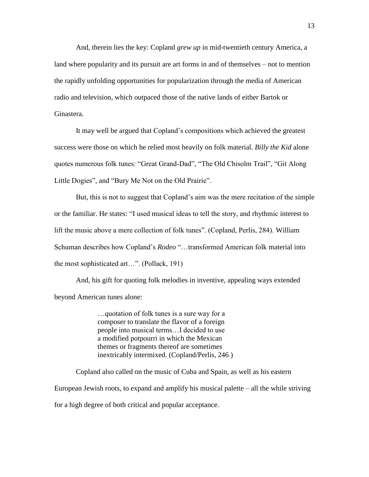And, therein lies the key: Copland *grew up* in mid-twentieth century America, a land where popularity and its pursuit are art forms in and of themselves – not to mention the rapidly unfolding opportunities for popularization through the media of American radio and television, which outpaced those of the native lands of either Bartok or Ginastera.

It may well be argued that Copland's compositions which achieved the greatest success were those on which he relied most heavily on folk material. *Billy the Kid* alone quotes numerous folk tunes: "Great Grand-Dad", "The Old Chisolm Trail", "Git Along Little Dogies", and "Bury Me Not on the Old Prairie".

But, this is not to suggest that Copland's aim was the mere recitation of the simple or the familiar. He states: "I used musical ideas to tell the story, and rhythmic interest to lift the music above a mere collection of folk tunes". (Copland, Perlis, 284). William Schuman describes how Copland's *Rodeo* "…transformed American folk material into the most sophisticated art…". (Pollack, 191)

And, his gift for quoting folk melodies in inventive, appealing ways extended beyond American tunes alone:

> …quotation of folk tunes is a sure way for a composer to translate the flavor of a foreign people into musical terms…I decided to use a modified potpourri in which the Mexican themes or fragments thereof are sometimes inextricably intermixed. (Copland/Perlis, 246 )

Copland also called on the music of Cuba and Spain, as well as his eastern European Jewish roots, to expand and amplify his musical palette – all the while striving for a high degree of both critical and popular acceptance.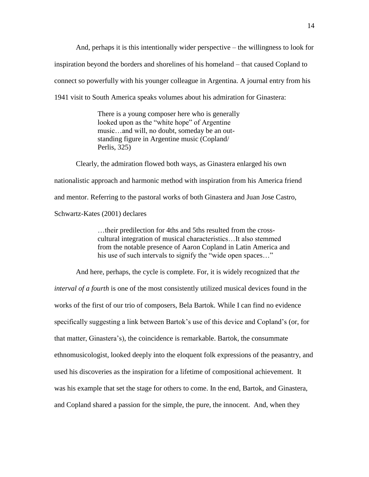And, perhaps it is this intentionally wider perspective – the willingness to look for inspiration beyond the borders and shorelines of his homeland – that caused Copland to connect so powerfully with his younger colleague in Argentina. A journal entry from his 1941 visit to South America speaks volumes about his admiration for Ginastera:

> There is a young composer here who is generally looked upon as the "white hope" of Argentine music…and will, no doubt, someday be an outstanding figure in Argentine music (Copland/ Perlis, 325)

Clearly, the admiration flowed both ways, as Ginastera enlarged his own nationalistic approach and harmonic method with inspiration from his America friend and mentor. Referring to the pastoral works of both Ginastera and Juan Jose Castro, Schwartz-Kates (2001) declares

> …their predilection for 4ths and 5ths resulted from the crosscultural integration of musical characteristics…It also stemmed from the notable presence of Aaron Copland in Latin America and his use of such intervals to signify the "wide open spaces..."

And here, perhaps, the cycle is complete. For, it is widely recognized that *the interval of a fourth* is one of the most consistently utilized musical devices found in the works of the first of our trio of composers, Bela Bartok. While I can find no evidence specifically suggesting a link between Bartok's use of this device and Copland's (or, for that matter, Ginastera's), the coincidence is remarkable. Bartok, the consummate ethnomusicologist, looked deeply into the eloquent folk expressions of the peasantry, and used his discoveries as the inspiration for a lifetime of compositional achievement. It was his example that set the stage for others to come. In the end, Bartok, and Ginastera, and Copland shared a passion for the simple, the pure, the innocent. And, when they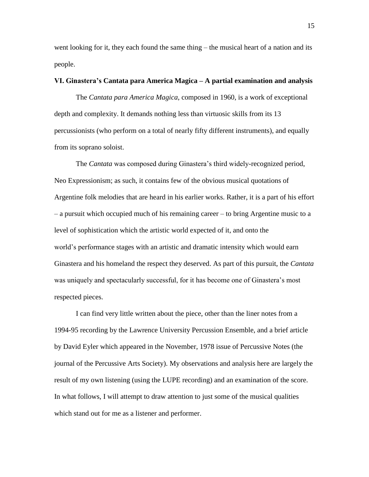went looking for it, they each found the same thing – the musical heart of a nation and its people.

# **VI. Ginastera's Cantata para America Magica – A partial examination and analysis**

The *Cantata para America Magica*, composed in 1960, is a work of exceptional depth and complexity. It demands nothing less than virtuosic skills from its 13 percussionists (who perform on a total of nearly fifty different instruments), and equally from its soprano soloist.

The *Cantata* was composed during Ginastera's third widely-recognized period, Neo Expressionism; as such, it contains few of the obvious musical quotations of Argentine folk melodies that are heard in his earlier works. Rather, it is a part of his effort – a pursuit which occupied much of his remaining career – to bring Argentine music to a level of sophistication which the artistic world expected of it, and onto the world's performance stages with an artistic and dramatic intensity which would earn Ginastera and his homeland the respect they deserved. As part of this pursuit, the *Cantata* was uniquely and spectacularly successful, for it has become one of Ginastera's most respected pieces.

I can find very little written about the piece, other than the liner notes from a 1994-95 recording by the Lawrence University Percussion Ensemble, and a brief article by David Eyler which appeared in the November, 1978 issue of Percussive Notes (the journal of the Percussive Arts Society). My observations and analysis here are largely the result of my own listening (using the LUPE recording) and an examination of the score. In what follows, I will attempt to draw attention to just some of the musical qualities which stand out for me as a listener and performer.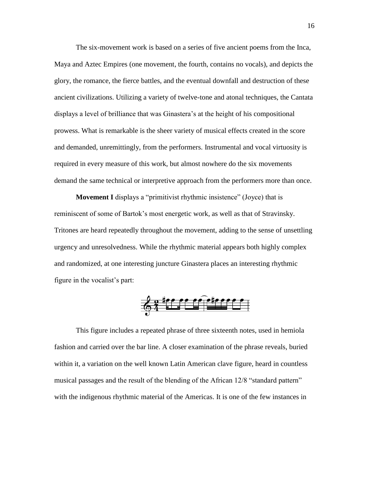The six-movement work is based on a series of five ancient poems from the Inca, Maya and Aztec Empires (one movement, the fourth, contains no vocals), and depicts the glory, the romance, the fierce battles, and the eventual downfall and destruction of these ancient civilizations. Utilizing a variety of twelve-tone and atonal techniques, the Cantata displays a level of brilliance that was Ginastera's at the height of his compositional prowess. What is remarkable is the sheer variety of musical effects created in the score and demanded, unremittingly, from the performers. Instrumental and vocal virtuosity is required in every measure of this work, but almost nowhere do the six movements demand the same technical or interpretive approach from the performers more than once.

**Movement I** displays a "primitivist rhythmic insistence" (Joyce) that is reminiscent of some of Bartok's most energetic work, as well as that of Stravinsky. Tritones are heard repeatedly throughout the movement, adding to the sense of unsettling urgency and unresolvedness. While the rhythmic material appears both highly complex and randomized, at one interesting juncture Ginastera places an interesting rhythmic figure in the vocalist's part:

$$
\frac{2}{9}
$$

This figure includes a repeated phrase of three sixteenth notes, used in hemiola fashion and carried over the bar line. A closer examination of the phrase reveals, buried within it, a variation on the well known Latin American clave figure, heard in countless musical passages and the result of the blending of the African 12/8 "standard pattern" with the indigenous rhythmic material of the Americas. It is one of the few instances in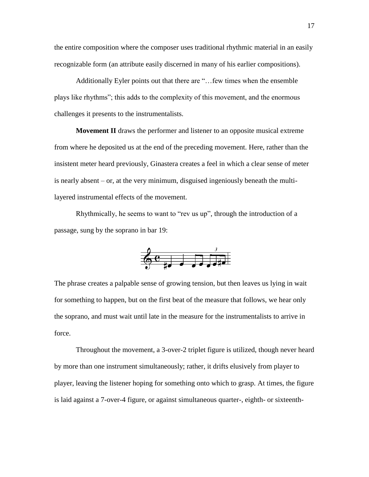the entire composition where the composer uses traditional rhythmic material in an easily recognizable form (an attribute easily discerned in many of his earlier compositions).

Additionally Eyler points out that there are "…few times when the ensemble plays like rhythms"; this adds to the complexity of this movement, and the enormous challenges it presents to the instrumentalists.

**Movement II** draws the performer and listener to an opposite musical extreme from where he deposited us at the end of the preceding movement. Here, rather than the insistent meter heard previously, Ginastera creates a feel in which a clear sense of meter is nearly absent – or, at the very minimum, disguised ingeniously beneath the multilayered instrumental effects of the movement.

Rhythmically, he seems to want to "rev us up", through the introduction of a passage, sung by the soprano in bar 19:



The phrase creates a palpable sense of growing tension, but then leaves us lying in wait for something to happen, but on the first beat of the measure that follows, we hear only the soprano, and must wait until late in the measure for the instrumentalists to arrive in force.

Throughout the movement, a 3-over-2 triplet figure is utilized, though never heard by more than one instrument simultaneously; rather, it drifts elusively from player to player, leaving the listener hoping for something onto which to grasp. At times, the figure is laid against a 7-over-4 figure, or against simultaneous quarter-, eighth- or sixteenth-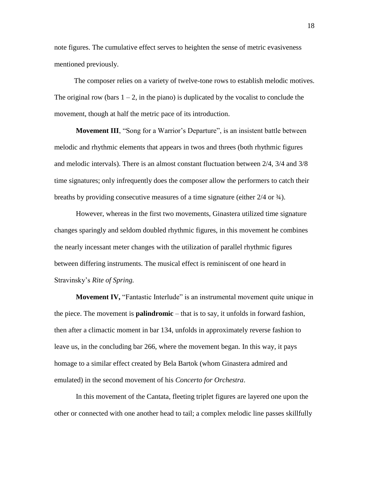note figures. The cumulative effect serves to heighten the sense of metric evasiveness mentioned previously.

The composer relies on a variety of twelve-tone rows to establish melodic motives. The original row (bars  $1 - 2$ , in the piano) is duplicated by the vocalist to conclude the movement, though at half the metric pace of its introduction.

**Movement III**, "Song for a Warrior's Departure", is an insistent battle between melodic and rhythmic elements that appears in twos and threes (both rhythmic figures and melodic intervals). There is an almost constant fluctuation between 2/4, 3/4 and 3/8 time signatures; only infrequently does the composer allow the performers to catch their breaths by providing consecutive measures of a time signature (either 2/4 or ¾).

However, whereas in the first two movements, Ginastera utilized time signature changes sparingly and seldom doubled rhythmic figures, in this movement he combines the nearly incessant meter changes with the utilization of parallel rhythmic figures between differing instruments. The musical effect is reminiscent of one heard in Stravinsky's *Rite of Spring.* 

**Movement IV,** "Fantastic Interlude" is an instrumental movement quite unique in the piece. The movement is **palindromic** – that is to say, it unfolds in forward fashion, then after a climactic moment in bar 134, unfolds in approximately reverse fashion to leave us, in the concluding bar 266, where the movement began. In this way, it pays homage to a similar effect created by Bela Bartok (whom Ginastera admired and emulated) in the second movement of his *Concerto for Orchestra*.

In this movement of the Cantata, fleeting triplet figures are layered one upon the other or connected with one another head to tail; a complex melodic line passes skillfully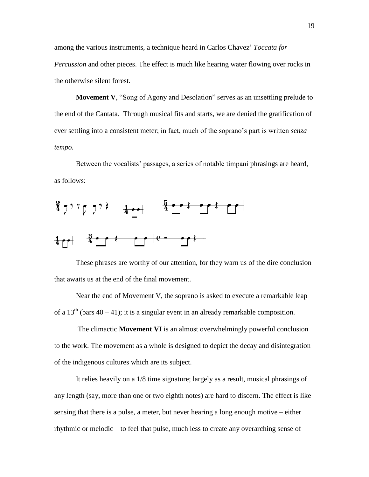among the various instruments, a technique heard in Carlos Chavez' *Toccata for Percussion* and other pieces. The effect is much like hearing water flowing over rocks in the otherwise silent forest.

**Movement V**, "Song of Agony and Desolation" serves as an unsettling prelude to the end of the Cantata. Through musical fits and starts, we are denied the gratification of ever settling into a consistent meter; in fact, much of the soprano's part is written *senza tempo.* 

Between the vocalists' passages, a series of notable timpani phrasings are heard, as follows:



These phrases are worthy of our attention, for they warn us of the dire conclusion that awaits us at the end of the final movement.

Near the end of Movement V, the soprano is asked to execute a remarkable leap of a  $13<sup>th</sup>$  (bars 40 – 41); it is a singular event in an already remarkable composition.

The climactic **Movement VI** is an almost overwhelmingly powerful conclusion to the work. The movement as a whole is designed to depict the decay and disintegration of the indigenous cultures which are its subject.

It relies heavily on a 1/8 time signature; largely as a result, musical phrasings of any length (say, more than one or two eighth notes) are hard to discern. The effect is like sensing that there is a pulse, a meter, but never hearing a long enough motive – either rhythmic or melodic – to feel that pulse, much less to create any overarching sense of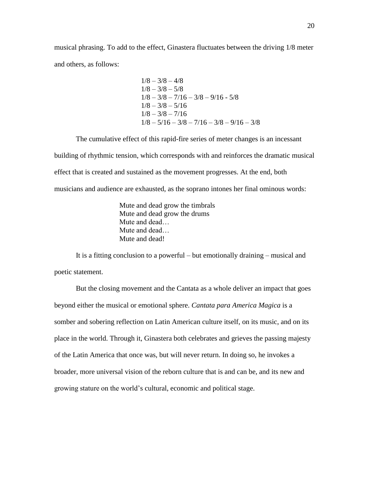musical phrasing. To add to the effect, Ginastera fluctuates between the driving 1/8 meter and others, as follows:

$$
1/8 - 3/8 - 4/8
$$
  
\n
$$
1/8 - 3/8 - 5/8
$$
  
\n
$$
1/8 - 3/8 - 7/16 - 3/8 - 9/16 - 5/8
$$
  
\n
$$
1/8 - 3/8 - 5/16
$$
  
\n
$$
1/8 - 3/8 - 7/16
$$
  
\n
$$
1/8 - 5/16 - 3/8 - 7/16 - 3/8 - 9/16 - 3/8
$$

The cumulative effect of this rapid-fire series of meter changes is an incessant building of rhythmic tension, which corresponds with and reinforces the dramatic musical effect that is created and sustained as the movement progresses. At the end, both musicians and audience are exhausted, as the soprano intones her final ominous words:

> Mute and dead grow the timbrals Mute and dead grow the drums Mute and dead… Mute and dead… Mute and dead!

It is a fitting conclusion to a powerful – but emotionally draining – musical and poetic statement.

But the closing movement and the Cantata as a whole deliver an impact that goes beyond either the musical or emotional sphere. *Cantata para America Magica* is a somber and sobering reflection on Latin American culture itself, on its music, and on its place in the world. Through it, Ginastera both celebrates and grieves the passing majesty of the Latin America that once was, but will never return. In doing so, he invokes a broader, more universal vision of the reborn culture that is and can be, and its new and growing stature on the world's cultural, economic and political stage.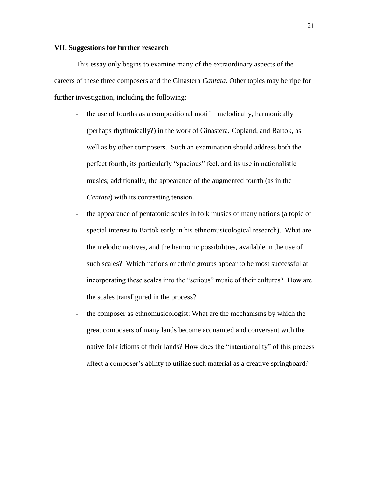## **VII. Suggestions for further research**

This essay only begins to examine many of the extraordinary aspects of the careers of these three composers and the Ginastera *Cantata*. Other topics may be ripe for further investigation, including the following:

- the use of fourths as a compositional motif melodically, harmonically (perhaps rhythmically?) in the work of Ginastera, Copland, and Bartok, as well as by other composers. Such an examination should address both the perfect fourth, its particularly "spacious" feel, and its use in nationalistic musics; additionally, the appearance of the augmented fourth (as in the *Cantata*) with its contrasting tension.
- the appearance of pentatonic scales in folk musics of many nations (a topic of special interest to Bartok early in his ethnomusicological research). What are the melodic motives, and the harmonic possibilities, available in the use of such scales? Which nations or ethnic groups appear to be most successful at incorporating these scales into the "serious" music of their cultures? How are the scales transfigured in the process?
- the composer as ethnomusicologist: What are the mechanisms by which the great composers of many lands become acquainted and conversant with the native folk idioms of their lands? How does the "intentionality" of this process affect a composer's ability to utilize such material as a creative springboard?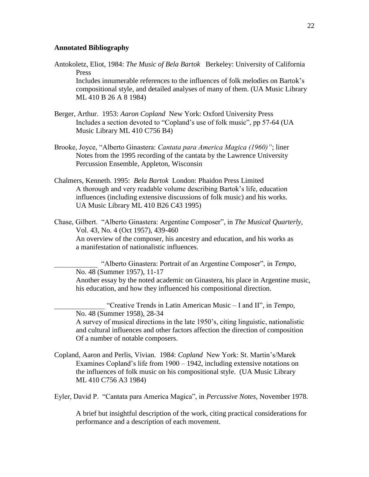#### **Annotated Bibliography**

Antokoletz, Eliot, 1984: *The Music of Bela Bartok* Berkeley: University of California Press

Includes innumerable references to the influences of folk melodies on Bartok's compositional style, and detailed analyses of many of them. (UA Music Library ML 410 B 26 A 8 1984)

- Berger, Arthur. 1953: *Aaron Copland* New York: Oxford University Press Includes a section devoted to "Copland's use of folk music", pp 57-64 (UA Music Library ML 410 C756 B4)
- Brooke, Joyce, "Alberto Ginastera: *Cantata para America Magica (1960)"*; liner Notes from the 1995 recording of the cantata by the Lawrence University Percussion Ensemble, Appleton, Wisconsin
- Chalmers, Kenneth. 1995: *Bela Bartok* London: Phaidon Press Limited A thorough and very readable volume describing Bartok's life, education influences (including extensive discussions of folk music) and his works. UA Music Library ML 410 B26 C43 1995)
- Chase, Gilbert. "Alberto Ginastera: Argentine Composer", in *The Musical Quarterly,* Vol. 43, No. 4 (Oct 1957), 439-460 An overview of the composer, his ancestry and education, and his works as a manifestation of nationalistic influences.

\_\_\_\_\_\_\_\_\_\_\_\_ "Alberto Ginastera: Portrait of an Argentine Composer", in *Tempo*, No. 48 (Summer 1957), 11-17 Another essay by the noted academic on Ginastera, his place in Argentine music, his education, and how they influenced his compositional direction.

\_\_\_\_\_\_\_\_\_\_\_\_\_\_ "Creative Trends in Latin American Music – I and II", in *Tempo*, No. 48 (Summer 1958), 28-34 A survey of musical directions in the late 1950's, citing linguistic, nationalistic and cultural influences and other factors affection the direction of composition Of a number of notable composers.

Copland, Aaron and Perlis, Vivian. 1984: *Copland* New York: St. Martin's/Marek Examines Copland's life from 1900 – 1942, including extensive notations on the influences of folk music on his compositional style. (UA Music Library ML 410 C756 A3 1984)

Eyler, David P. "Cantata para America Magica", in *Percussive Notes,* November 1978.

A brief but insightful description of the work, citing practical considerations for performance and a description of each movement.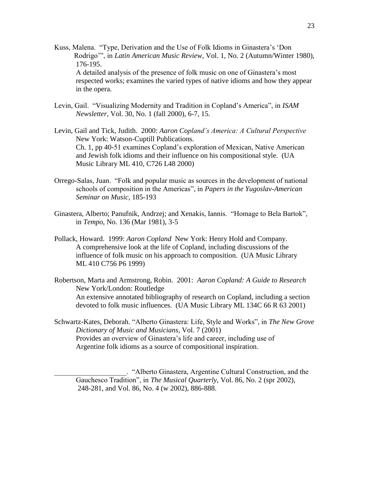- Kuss, Malena. "Type, Derivation and the Use of Folk Idioms in Ginastera's 'Don Rodrigo'", in *Latin American Music Review*, Vol. 1, No. 2 (Autumn/Winter 1980), 176-195. A detailed analysis of the presence of folk music on one of Ginastera's most respected works; examines the varied types of native idioms and how they appear in the opera.
- Levin, Gail. "Visualizing Modernity and Tradition in Copland's America", in *ISAM Newsletter*, Vol. 30, No. 1 (fall 2000), 6-7, 15.
- Levin, Gail and Tick, Judith. 2000: *Aaron Copland's America: A Cultural Perspective* New York: Watson-Cuptill Publications. Ch. 1, pp 40-51 examines Copland's exploration of Mexican, Native American and Jewish folk idioms and their influence on his compositional style. (UA Music Library ML 410, C726 L48 2000)
- Orrego-Salas, Juan. "Folk and popular music as sources in the development of national schools of composition in the Americas", in *Papers in the Yugoslav-American Seminar on Music*, 185-193
- Ginastera, Alberto; Panufnik, Andrzej; and Xenakis, Iannis. "Homage to Bela Bartok", in *Tempo*, No. 136 (Mar 1981), 3-5
- Pollack, Howard. 1999: *Aaron Copland* New York: Henry Hold and Company. A comprehensive look at the life of Copland, including discussions of the influence of folk music on his approach to composition. (UA Music Library ML 410 C756 P6 1999)
- Robertson, Marta and Armstrong, Robin. 2001: *Aaron Copland: A Guide to Research* New York/London: Routledge An extensive annotated bibliography of research on Copland, including a section devoted to folk music influences. (UA Music Library ML 134C 66 R 63 2001)
- Schwartz-Kates, Deborah. "Alberto Ginastera: Life, Style and Works", in *The New Grove Dictionary of Music and Musicians*, Vol. 7 (2001) Provides an overview of Ginastera's life and career, including use of Argentine folk idioms as a source of compositional inspiration.

\_\_\_\_\_\_\_\_\_\_\_\_\_\_\_\_\_\_\_\_. "Alberto Ginastera, Argentine Cultural Construction, and the Gauchesco Tradition", in *The Musical Quarterly*, Vol. 86, No. 2 (spr 2002), 248-281, and Vol. 86, No. 4 (w 2002), 886-888.